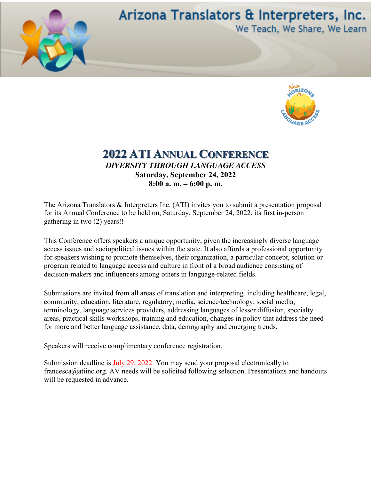

## Arizona Translators & Interpreters, Inc. We Teach, We Share, We Learn



## **2022 ATI ANNUAL CONFERENCE** *DIVERSITY THROUGH LANGUAGE ACCESS* **Saturday, September 24, 2022 8:00 a. m. – 6:00 p. m.**

The Arizona Translators & Interpreters Inc. (ATI) invites you to submit a presentation proposal for its Annual Conference to be held on, Saturday, September 24, 2022, its first in-person gathering in two (2) years!!

This Conference offers speakers a unique opportunity, given the increasingly diverse language access issues and sociopolitical issues within the state. It also affords a professional opportunity for speakers wishing to promote themselves, their organization, a particular concept, solution or program related to language access and culture in front of a broad audience consisting of decision-makers and influencers among others in language-related fields.

Submissions are invited from all areas of translation and interpreting, including healthcare, legal, community, education, literature, regulatory, media, science/technology, social media, terminology, language services providers, addressing languages of lesser diffusion, specialty areas, practical skills workshops, training and education, changes in policy that address the need for more and better language assistance, data, demography and emerging trends.

Speakers will receive complimentary conference registration.

Submission deadline is July 29, 2022. You may send your proposal electronically to francesca@atiinc.org. AV needs will be solicited following selection. Presentations and handouts will be requested in advance.